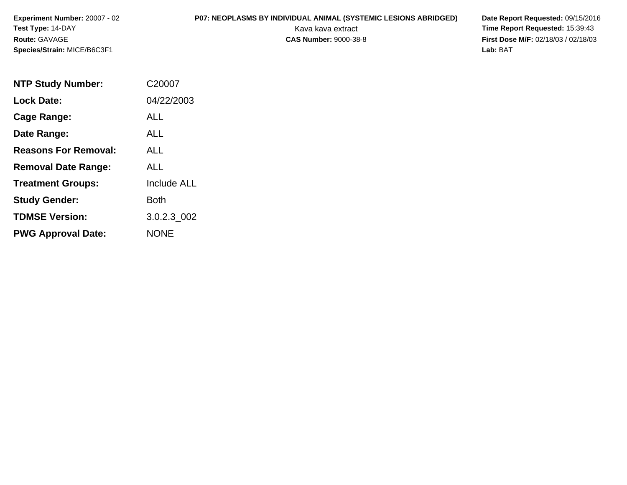# **P07: NEOPLASMS BY INDIVIDUAL ANIMAL (SYSTEMIC LESIONS ABRIDGED) Date Report Requested:** 09/15/2016

Kava kava extract **Time Report Requested:** 15:39:43<br>**CAS Number:** 9000-38-8 **Time Report Requested:** 15:39:43 **First Dose M/F:** 02/18/03 / 02/18/03<br>**Lab:** BAT **Lab:** BAT

| <b>NTP Study Number:</b>    | C20007             |
|-----------------------------|--------------------|
| <b>Lock Date:</b>           | 04/22/2003         |
| Cage Range:                 | <b>ALL</b>         |
| Date Range:                 | ALL                |
| <b>Reasons For Removal:</b> | ALL                |
| <b>Removal Date Range:</b>  | ALL                |
| <b>Treatment Groups:</b>    | <b>Include ALL</b> |
| <b>Study Gender:</b>        | <b>Both</b>        |
| <b>TDMSE Version:</b>       | 3.0.2.3_002        |
| <b>PWG Approval Date:</b>   | <b>NONE</b>        |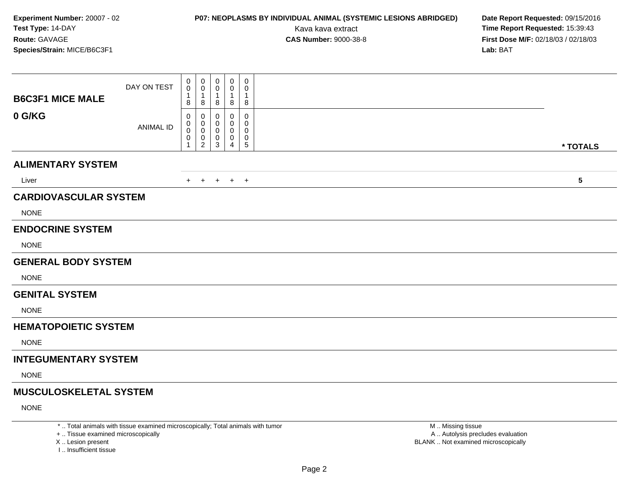### **P07: NEOPLASMS BY INDIVIDUAL ANIMAL (SYSTEMIC LESIONS ABRIDGED) Date Report Requested:** 09/15/2016

Kava kava extract **Time Report Requested:** 15:39:43<br>**CAS Number:** 9000-38-8 **Time Report Requested:** 15:39:43 **First Dose M/F:** 02/18/03 / 02/18/03<br>**Lab:** BAT **Lab:** BAT

| <b>B6C3F1 MICE MALE</b>                     | DAY ON TEST      | $\mathbf 0$<br>0<br>1<br>8 | 0<br>0<br>1<br>8                           | 0<br>0<br>-1<br>8          | $\pmb{0}$<br>0<br>1<br>8        | $\mathbf 0$<br>0<br>$\overline{1}$<br>8          |  |  |                         |
|---------------------------------------------|------------------|----------------------------|--------------------------------------------|----------------------------|---------------------------------|--------------------------------------------------|--|--|-------------------------|
| 0 G/KG                                      | <b>ANIMAL ID</b> | 0<br>0<br>0<br>0<br>1      | 0<br>0<br>0<br>$\pmb{0}$<br>$\overline{2}$ | 0<br>$\boldsymbol{0}$<br>3 | 0<br>0<br>0<br>$\mathbf 0$<br>4 | 0<br>$\mathbf 0$<br>0<br>$\pmb{0}$<br>$\sqrt{5}$ |  |  | * TOTALS                |
| <b>ALIMENTARY SYSTEM</b>                    |                  |                            |                                            |                            |                                 |                                                  |  |  |                         |
| Liver                                       |                  |                            | $+$ $+$                                    |                            | $+$ $+$ $+$                     |                                                  |  |  | $\overline{\mathbf{5}}$ |
| <b>CARDIOVASCULAR SYSTEM</b><br><b>NONE</b> |                  |                            |                                            |                            |                                 |                                                  |  |  |                         |
| <b>ENDOCRINE SYSTEM</b><br><b>NONE</b>      |                  |                            |                                            |                            |                                 |                                                  |  |  |                         |
| <b>GENERAL BODY SYSTEM</b>                  |                  |                            |                                            |                            |                                 |                                                  |  |  |                         |
| <b>NONE</b>                                 |                  |                            |                                            |                            |                                 |                                                  |  |  |                         |
| <b>GENITAL SYSTEM</b><br><b>NONE</b>        |                  |                            |                                            |                            |                                 |                                                  |  |  |                         |
| <b>HEMATOPOIETIC SYSTEM</b>                 |                  |                            |                                            |                            |                                 |                                                  |  |  |                         |
| <b>NONE</b>                                 |                  |                            |                                            |                            |                                 |                                                  |  |  |                         |
| <b>INTEGUMENTARY SYSTEM</b>                 |                  |                            |                                            |                            |                                 |                                                  |  |  |                         |
| <b>NONE</b>                                 |                  |                            |                                            |                            |                                 |                                                  |  |  |                         |
| <b>MUSCULOSKELETAL SYSTEM</b>               |                  |                            |                                            |                            |                                 |                                                  |  |  |                         |
| <b>NONE</b>                                 |                  |                            |                                            |                            |                                 |                                                  |  |  |                         |

\* .. Total animals with tissue examined microscopically; Total animals with tumor

+ .. Tissue examined microscopically

X .. Lesion present

I .. Insufficient tissue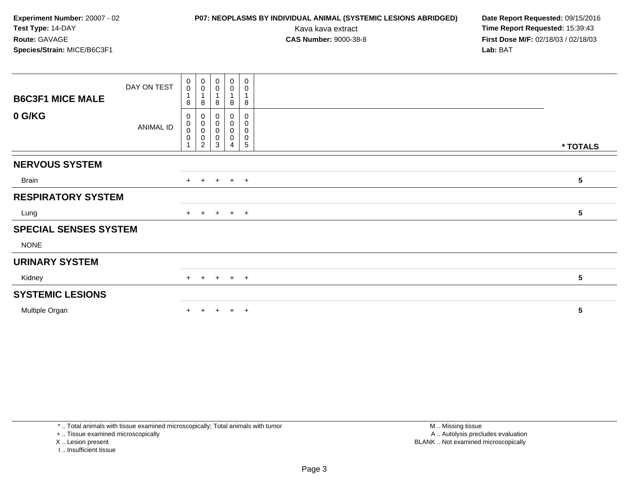### **P07: NEOPLASMS BY INDIVIDUAL ANIMAL (SYSTEMIC LESIONS ABRIDGED) Date Report Requested:** 09/15/2016

Kava kava extract **Time Report Requested:** 15:39:43<br>**CAS Number:** 9000-38-8 **Time Report Requested:** 15:39:43 **First Dose M/F:** 02/18/03 / 02/18/03<br>**Lab:** BAT **Lab:** BAT

| <b>B6C3F1 MICE MALE</b>      | DAY ON TEST | $\pmb{0}$<br>$\mathbf 0$<br>1<br>8                | 0<br>$\pmb{0}$<br>$\mathbf{1}$<br>8                  | 0<br>0<br>8           | $\pmb{0}$<br>$\pmb{0}$<br>8                   | $\boldsymbol{0}$<br>$\mathbf 0$<br>$\mathbf{1}$<br>8   |                 |
|------------------------------|-------------|---------------------------------------------------|------------------------------------------------------|-----------------------|-----------------------------------------------|--------------------------------------------------------|-----------------|
| 0 G/KG                       | ANIMAL ID   | 0<br>$\boldsymbol{0}$<br>$\pmb{0}$<br>$\mathbf 0$ | 0<br>$\mathbf 0$<br>$\pmb{0}$<br>0<br>$\overline{c}$ | 0<br>0<br>0<br>0<br>3 | 0<br>$\pmb{0}$<br>$\pmb{0}$<br>$\pmb{0}$<br>4 | 0<br>$\pmb{0}$<br>$\pmb{0}$<br>$\pmb{0}$<br>$\sqrt{5}$ | * TOTALS        |
| <b>NERVOUS SYSTEM</b>        |             |                                                   |                                                      |                       |                                               |                                                        |                 |
| Brain                        |             | $+$                                               | $+$                                                  |                       | $+$ $+$ $+$                                   |                                                        | 5               |
| <b>RESPIRATORY SYSTEM</b>    |             |                                                   |                                                      |                       |                                               |                                                        |                 |
| Lung                         |             |                                                   | $+$ $+$                                              |                       | $+$ $+$ $+$                                   |                                                        | $5\phantom{.0}$ |
| <b>SPECIAL SENSES SYSTEM</b> |             |                                                   |                                                      |                       |                                               |                                                        |                 |
| <b>NONE</b>                  |             |                                                   |                                                      |                       |                                               |                                                        |                 |
| <b>URINARY SYSTEM</b>        |             |                                                   |                                                      |                       |                                               |                                                        |                 |
| Kidney                       |             |                                                   | $+$ $+$                                              |                       | $+$ $+$ $+$                                   |                                                        | 5               |
| <b>SYSTEMIC LESIONS</b>      |             |                                                   |                                                      |                       |                                               |                                                        |                 |
| Multiple Organ               |             |                                                   | $\pm$                                                | +                     | $+$                                           | $+$                                                    | $5\phantom{.0}$ |

\* .. Total animals with tissue examined microscopically; Total animals with tumor

+ .. Tissue examined microscopically

X .. Lesion present

I .. Insufficient tissue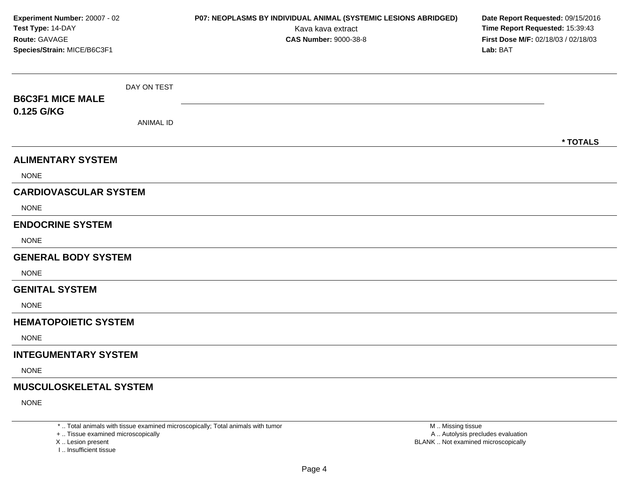| Experiment Number: 20007 - 02<br>Test Type: 14-DAY<br>Route: GAVAGE<br>Species/Strain: MICE/B6C3F1 |                  | P07: NEOPLASMS BY INDIVIDUAL ANIMAL (SYSTEMIC LESIONS ABRIDGED)<br>Kava kava extract<br><b>CAS Number: 9000-38-8</b> | Date Report Requested: 09/15/2016<br>Time Report Requested: 15:39:43<br>First Dose M/F: 02/18/03 / 02/18/03<br>Lab: BAT |
|----------------------------------------------------------------------------------------------------|------------------|----------------------------------------------------------------------------------------------------------------------|-------------------------------------------------------------------------------------------------------------------------|
| <b>B6C3F1 MICE MALE</b><br>0.125 G/KG                                                              | DAY ON TEST      |                                                                                                                      |                                                                                                                         |
|                                                                                                    | <b>ANIMAL ID</b> |                                                                                                                      | * TOTALS                                                                                                                |
| <b>ALIMENTARY SYSTEM</b><br><b>NONE</b>                                                            |                  |                                                                                                                      |                                                                                                                         |
| <b>CARDIOVASCULAR SYSTEM</b><br><b>NONE</b>                                                        |                  |                                                                                                                      |                                                                                                                         |
| <b>ENDOCRINE SYSTEM</b><br><b>NONE</b>                                                             |                  |                                                                                                                      |                                                                                                                         |
| <b>GENERAL BODY SYSTEM</b><br><b>NONE</b>                                                          |                  |                                                                                                                      |                                                                                                                         |
| <b>GENITAL SYSTEM</b><br><b>NONE</b>                                                               |                  |                                                                                                                      |                                                                                                                         |
| <b>HEMATOPOIETIC SYSTEM</b><br><b>NONE</b>                                                         |                  |                                                                                                                      |                                                                                                                         |
| <b>INTEGUMENTARY SYSTEM</b><br><b>NONE</b>                                                         |                  |                                                                                                                      |                                                                                                                         |
| <b>MUSCULOSKELETAL SYSTEM</b><br><b>NONE</b>                                                       |                  |                                                                                                                      |                                                                                                                         |

+ .. Tissue examined microscopically

X ..

I .. Insufficient tissue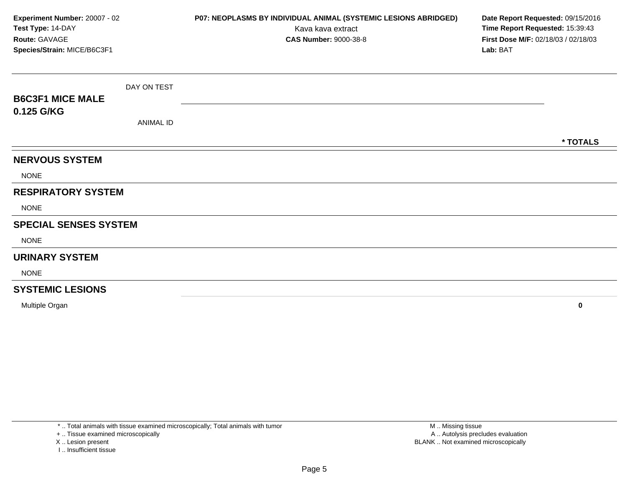| Experiment Number: 20007 - 02<br>Test Type: 14-DAY<br>Route: GAVAGE<br>Species/Strain: MICE/B6C3F1 |                  | P07: NEOPLASMS BY INDIVIDUAL ANIMAL (SYSTEMIC LESIONS ABRIDGED)<br>Kava kava extract<br><b>CAS Number: 9000-38-8</b> | Date Report Requested: 09/15/2016<br>Time Report Requested: 15:39:43<br>First Dose M/F: 02/18/03 / 02/18/03<br>Lab: BAT |          |
|----------------------------------------------------------------------------------------------------|------------------|----------------------------------------------------------------------------------------------------------------------|-------------------------------------------------------------------------------------------------------------------------|----------|
|                                                                                                    | DAY ON TEST      |                                                                                                                      |                                                                                                                         |          |
| <b>B6C3F1 MICE MALE</b>                                                                            |                  |                                                                                                                      |                                                                                                                         |          |
| 0.125 G/KG                                                                                         | <b>ANIMAL ID</b> |                                                                                                                      |                                                                                                                         |          |
|                                                                                                    |                  |                                                                                                                      |                                                                                                                         | * TOTALS |
| <b>NERVOUS SYSTEM</b>                                                                              |                  |                                                                                                                      |                                                                                                                         |          |
| <b>NONE</b>                                                                                        |                  |                                                                                                                      |                                                                                                                         |          |
| <b>RESPIRATORY SYSTEM</b>                                                                          |                  |                                                                                                                      |                                                                                                                         |          |
| <b>NONE</b>                                                                                        |                  |                                                                                                                      |                                                                                                                         |          |
| <b>SPECIAL SENSES SYSTEM</b>                                                                       |                  |                                                                                                                      |                                                                                                                         |          |
| <b>NONE</b>                                                                                        |                  |                                                                                                                      |                                                                                                                         |          |
| <b>URINARY SYSTEM</b>                                                                              |                  |                                                                                                                      |                                                                                                                         |          |
| <b>NONE</b>                                                                                        |                  |                                                                                                                      |                                                                                                                         |          |
| <b>SYSTEMIC LESIONS</b>                                                                            |                  |                                                                                                                      |                                                                                                                         |          |
| Multiple Organ                                                                                     |                  |                                                                                                                      |                                                                                                                         | 0        |

+ .. Tissue examined microscopically

X .. Lesion present

I .. Insufficient tissue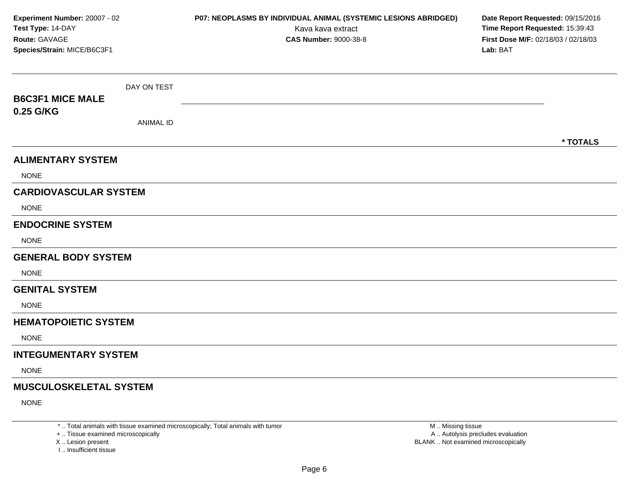| Experiment Number: 20007 - 02<br>Test Type: 14-DAY<br>Route: GAVAGE<br>Species/Strain: MICE/B6C3F1 |                  | P07: NEOPLASMS BY INDIVIDUAL ANIMAL (SYSTEMIC LESIONS ABRIDGED)<br>Kava kava extract<br><b>CAS Number: 9000-38-8</b> | Date Report Requested: 09/15/2016<br>Time Report Requested: 15:39:43<br>First Dose M/F: 02/18/03 / 02/18/03<br>Lab: BAT |  |
|----------------------------------------------------------------------------------------------------|------------------|----------------------------------------------------------------------------------------------------------------------|-------------------------------------------------------------------------------------------------------------------------|--|
| <b>B6C3F1 MICE MALE</b>                                                                            | DAY ON TEST      |                                                                                                                      |                                                                                                                         |  |
| 0.25 G/KG                                                                                          | <b>ANIMAL ID</b> |                                                                                                                      | * TOTALS                                                                                                                |  |
| <b>ALIMENTARY SYSTEM</b>                                                                           |                  |                                                                                                                      |                                                                                                                         |  |
| <b>NONE</b>                                                                                        |                  |                                                                                                                      |                                                                                                                         |  |
| <b>CARDIOVASCULAR SYSTEM</b>                                                                       |                  |                                                                                                                      |                                                                                                                         |  |
| <b>NONE</b>                                                                                        |                  |                                                                                                                      |                                                                                                                         |  |
| <b>ENDOCRINE SYSTEM</b>                                                                            |                  |                                                                                                                      |                                                                                                                         |  |
| <b>NONE</b>                                                                                        |                  |                                                                                                                      |                                                                                                                         |  |
| <b>GENERAL BODY SYSTEM</b>                                                                         |                  |                                                                                                                      |                                                                                                                         |  |
| <b>NONE</b>                                                                                        |                  |                                                                                                                      |                                                                                                                         |  |
| <b>GENITAL SYSTEM</b>                                                                              |                  |                                                                                                                      |                                                                                                                         |  |
| <b>NONE</b>                                                                                        |                  |                                                                                                                      |                                                                                                                         |  |
| <b>HEMATOPOIETIC SYSTEM</b>                                                                        |                  |                                                                                                                      |                                                                                                                         |  |
| <b>NONE</b>                                                                                        |                  |                                                                                                                      |                                                                                                                         |  |
| <b>INTEGUMENTARY SYSTEM</b>                                                                        |                  |                                                                                                                      |                                                                                                                         |  |
| <b>NONE</b>                                                                                        |                  |                                                                                                                      |                                                                                                                         |  |
| <b>MUSCULOSKELETAL SYSTEM</b><br><b>NONE</b>                                                       |                  |                                                                                                                      |                                                                                                                         |  |

+ .. Tissue examined microscopically

X ..

I .. Insufficient tissue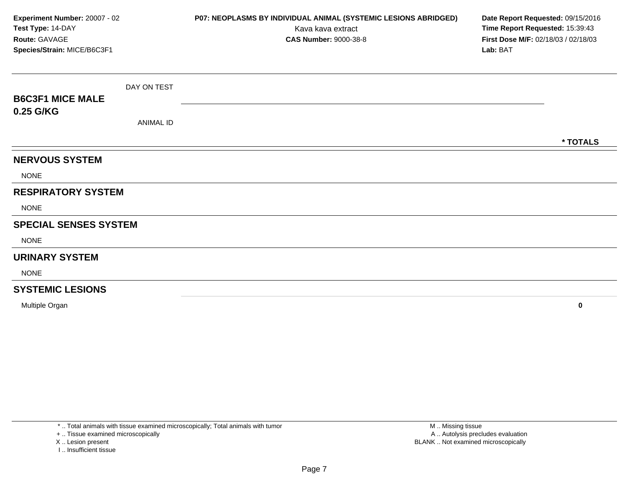| Experiment Number: 20007 - 02<br>Test Type: 14-DAY<br>Route: GAVAGE<br>Species/Strain: MICE/B6C3F1 |                  | P07: NEOPLASMS BY INDIVIDUAL ANIMAL (SYSTEMIC LESIONS ABRIDGED)<br>Kava kava extract<br><b>CAS Number: 9000-38-8</b> | Date Report Requested: 09/15/2016<br>Time Report Requested: 15:39:43<br>First Dose M/F: 02/18/03 / 02/18/03<br>Lab: BAT |
|----------------------------------------------------------------------------------------------------|------------------|----------------------------------------------------------------------------------------------------------------------|-------------------------------------------------------------------------------------------------------------------------|
|                                                                                                    | DAY ON TEST      |                                                                                                                      |                                                                                                                         |
| <b>B6C3F1 MICE MALE</b>                                                                            |                  |                                                                                                                      |                                                                                                                         |
| 0.25 G/KG                                                                                          | <b>ANIMAL ID</b> |                                                                                                                      |                                                                                                                         |
|                                                                                                    |                  |                                                                                                                      | * TOTALS                                                                                                                |
| <b>NERVOUS SYSTEM</b>                                                                              |                  |                                                                                                                      |                                                                                                                         |
| <b>NONE</b>                                                                                        |                  |                                                                                                                      |                                                                                                                         |
| <b>RESPIRATORY SYSTEM</b>                                                                          |                  |                                                                                                                      |                                                                                                                         |
| <b>NONE</b>                                                                                        |                  |                                                                                                                      |                                                                                                                         |
| <b>SPECIAL SENSES SYSTEM</b>                                                                       |                  |                                                                                                                      |                                                                                                                         |
| <b>NONE</b>                                                                                        |                  |                                                                                                                      |                                                                                                                         |
| <b>URINARY SYSTEM</b>                                                                              |                  |                                                                                                                      |                                                                                                                         |
| <b>NONE</b>                                                                                        |                  |                                                                                                                      |                                                                                                                         |
| <b>SYSTEMIC LESIONS</b>                                                                            |                  |                                                                                                                      |                                                                                                                         |
| Multiple Organ                                                                                     |                  |                                                                                                                      | $\bf{0}$                                                                                                                |

+ .. Tissue examined microscopically

X .. Lesion present

I .. Insufficient tissue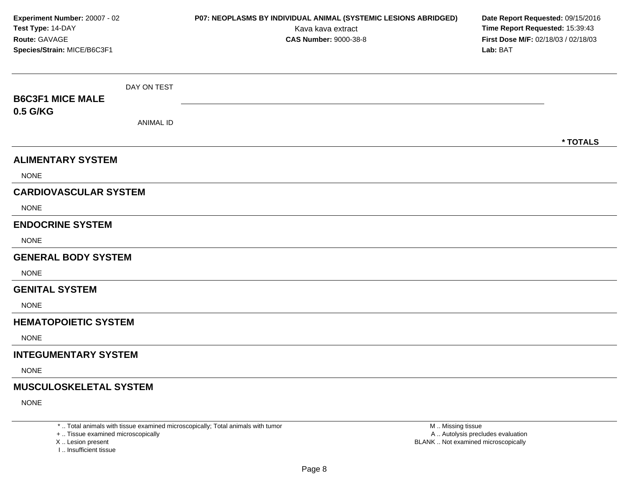| Experiment Number: 20007 - 02<br>Test Type: 14-DAY<br>Route: GAVAGE<br>Species/Strain: MICE/B6C3F1 |                  | P07: NEOPLASMS BY INDIVIDUAL ANIMAL (SYSTEMIC LESIONS ABRIDGED)<br>Kava kava extract<br><b>CAS Number: 9000-38-8</b> | Date Report Requested: 09/15/2016<br>Time Report Requested: 15:39:43<br>First Dose M/F: 02/18/03 / 02/18/03<br>Lab: BAT |
|----------------------------------------------------------------------------------------------------|------------------|----------------------------------------------------------------------------------------------------------------------|-------------------------------------------------------------------------------------------------------------------------|
| <b>B6C3F1 MICE MALE</b>                                                                            | DAY ON TEST      |                                                                                                                      |                                                                                                                         |
| 0.5 G/KG                                                                                           |                  |                                                                                                                      |                                                                                                                         |
|                                                                                                    | <b>ANIMAL ID</b> |                                                                                                                      |                                                                                                                         |
|                                                                                                    |                  |                                                                                                                      | * TOTALS                                                                                                                |
| <b>ALIMENTARY SYSTEM</b>                                                                           |                  |                                                                                                                      |                                                                                                                         |
| <b>NONE</b>                                                                                        |                  |                                                                                                                      |                                                                                                                         |
| <b>CARDIOVASCULAR SYSTEM</b>                                                                       |                  |                                                                                                                      |                                                                                                                         |
| <b>NONE</b>                                                                                        |                  |                                                                                                                      |                                                                                                                         |
| <b>ENDOCRINE SYSTEM</b>                                                                            |                  |                                                                                                                      |                                                                                                                         |
| <b>NONE</b>                                                                                        |                  |                                                                                                                      |                                                                                                                         |
| <b>GENERAL BODY SYSTEM</b>                                                                         |                  |                                                                                                                      |                                                                                                                         |
| <b>NONE</b>                                                                                        |                  |                                                                                                                      |                                                                                                                         |
| <b>GENITAL SYSTEM</b>                                                                              |                  |                                                                                                                      |                                                                                                                         |
| <b>NONE</b>                                                                                        |                  |                                                                                                                      |                                                                                                                         |
| <b>HEMATOPOIETIC SYSTEM</b>                                                                        |                  |                                                                                                                      |                                                                                                                         |
| <b>NONE</b>                                                                                        |                  |                                                                                                                      |                                                                                                                         |
| <b>INTEGUMENTARY SYSTEM</b>                                                                        |                  |                                                                                                                      |                                                                                                                         |
| <b>NONE</b>                                                                                        |                  |                                                                                                                      |                                                                                                                         |
| <b>MUSCULOSKELETAL SYSTEM</b>                                                                      |                  |                                                                                                                      |                                                                                                                         |
| <b>NONE</b>                                                                                        |                  |                                                                                                                      |                                                                                                                         |

+ .. Tissue examined microscopically

X ..

I .. Insufficient tissue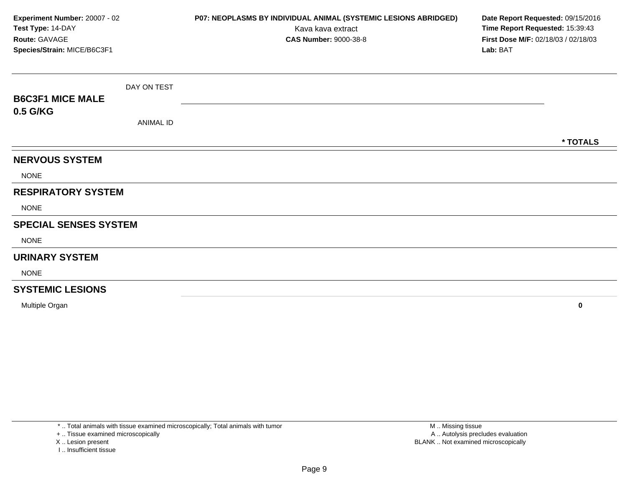| Experiment Number: 20007 - 02<br>Test Type: 14-DAY<br>Route: GAVAGE<br>Species/Strain: MICE/B6C3F1 |                  | P07: NEOPLASMS BY INDIVIDUAL ANIMAL (SYSTEMIC LESIONS ABRIDGED)<br>Kava kava extract<br><b>CAS Number: 9000-38-8</b> | Date Report Requested: 09/15/2016<br>Time Report Requested: 15:39:43<br>First Dose M/F: 02/18/03 / 02/18/03<br>Lab: BAT |          |
|----------------------------------------------------------------------------------------------------|------------------|----------------------------------------------------------------------------------------------------------------------|-------------------------------------------------------------------------------------------------------------------------|----------|
|                                                                                                    | DAY ON TEST      |                                                                                                                      |                                                                                                                         |          |
| <b>B6C3F1 MICE MALE</b>                                                                            |                  |                                                                                                                      |                                                                                                                         |          |
| 0.5 G/KG                                                                                           | <b>ANIMAL ID</b> |                                                                                                                      |                                                                                                                         |          |
|                                                                                                    |                  |                                                                                                                      |                                                                                                                         | * TOTALS |
| <b>NERVOUS SYSTEM</b>                                                                              |                  |                                                                                                                      |                                                                                                                         |          |
| <b>NONE</b>                                                                                        |                  |                                                                                                                      |                                                                                                                         |          |
| <b>RESPIRATORY SYSTEM</b>                                                                          |                  |                                                                                                                      |                                                                                                                         |          |
| <b>NONE</b>                                                                                        |                  |                                                                                                                      |                                                                                                                         |          |
| <b>SPECIAL SENSES SYSTEM</b>                                                                       |                  |                                                                                                                      |                                                                                                                         |          |
| <b>NONE</b>                                                                                        |                  |                                                                                                                      |                                                                                                                         |          |
| <b>URINARY SYSTEM</b>                                                                              |                  |                                                                                                                      |                                                                                                                         |          |
| <b>NONE</b>                                                                                        |                  |                                                                                                                      |                                                                                                                         |          |
| <b>SYSTEMIC LESIONS</b>                                                                            |                  |                                                                                                                      |                                                                                                                         |          |
| Multiple Organ                                                                                     |                  |                                                                                                                      |                                                                                                                         | 0        |

+ .. Tissue examined microscopically

- X .. Lesion present
	- I .. Insufficient tissue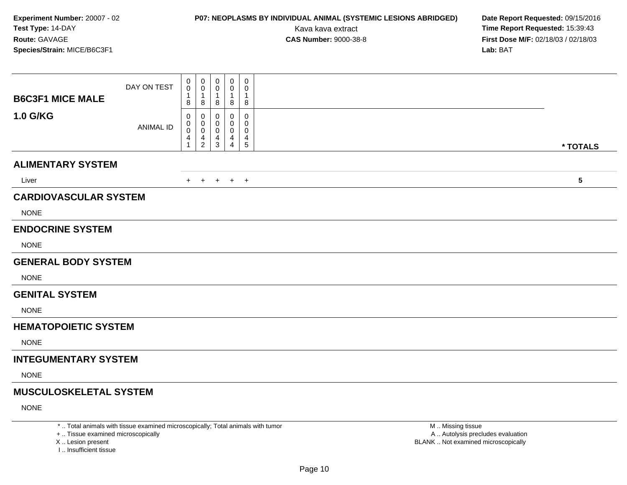### **P07: NEOPLASMS BY INDIVIDUAL ANIMAL (SYSTEMIC LESIONS ABRIDGED) Date Report Requested:** 09/15/2016

Kava kava extract **Time Report Requested:** 15:39:43<br>**CAS Number:** 9000-38-8 **Time Report Requested:** 15:39:43 **First Dose M/F:** 02/18/03 / 02/18/03<br>**Lab:** BAT **Lab:** BAT

| <b>B6C3F1 MICE MALE</b>                                                                                                        | DAY ON TEST                              | 0<br>0<br>1<br>8                | $\mathbf 0$<br>0<br>1<br>8     | 0<br>0<br>$\mathbf 1$<br>8 | $\pmb{0}$<br>0<br>-1<br>8                                                                 | $\mathbf 0$<br>0<br>$\overline{1}$<br>8                        |                         |  |
|--------------------------------------------------------------------------------------------------------------------------------|------------------------------------------|---------------------------------|--------------------------------|----------------------------|-------------------------------------------------------------------------------------------|----------------------------------------------------------------|-------------------------|--|
| <b>1.0 G/KG</b>                                                                                                                | <b>ANIMAL ID</b>                         | 0<br>0<br>0<br>4<br>$\mathbf 1$ | 0<br>0<br>0<br>4<br>$\sqrt{2}$ | 0<br>4<br>3                | 0<br>0<br>0<br>4<br>$\overline{4}$                                                        | 0<br>$\mathbf 0$<br>0<br>$\begin{array}{c} 4 \\ 5 \end{array}$ | * TOTALS                |  |
| <b>ALIMENTARY SYSTEM</b>                                                                                                       |                                          |                                 |                                |                            |                                                                                           |                                                                |                         |  |
| Liver                                                                                                                          |                                          |                                 |                                |                            | + + + + +                                                                                 |                                                                | $\overline{\mathbf{5}}$ |  |
| <b>CARDIOVASCULAR SYSTEM</b><br><b>NONE</b>                                                                                    |                                          |                                 |                                |                            |                                                                                           |                                                                |                         |  |
| <b>ENDOCRINE SYSTEM</b>                                                                                                        |                                          |                                 |                                |                            |                                                                                           |                                                                |                         |  |
| <b>NONE</b>                                                                                                                    |                                          |                                 |                                |                            |                                                                                           |                                                                |                         |  |
| <b>GENERAL BODY SYSTEM</b>                                                                                                     |                                          |                                 |                                |                            |                                                                                           |                                                                |                         |  |
| <b>NONE</b>                                                                                                                    |                                          |                                 |                                |                            |                                                                                           |                                                                |                         |  |
| <b>GENITAL SYSTEM</b>                                                                                                          |                                          |                                 |                                |                            |                                                                                           |                                                                |                         |  |
| <b>NONE</b>                                                                                                                    |                                          |                                 |                                |                            |                                                                                           |                                                                |                         |  |
| <b>HEMATOPOIETIC SYSTEM</b>                                                                                                    |                                          |                                 |                                |                            |                                                                                           |                                                                |                         |  |
| <b>NONE</b>                                                                                                                    |                                          |                                 |                                |                            |                                                                                           |                                                                |                         |  |
| <b>INTEGUMENTARY SYSTEM</b>                                                                                                    |                                          |                                 |                                |                            |                                                                                           |                                                                |                         |  |
| <b>NONE</b>                                                                                                                    |                                          |                                 |                                |                            |                                                                                           |                                                                |                         |  |
| <b>MUSCULOSKELETAL SYSTEM</b>                                                                                                  |                                          |                                 |                                |                            |                                                                                           |                                                                |                         |  |
| <b>NONE</b><br>the property of the contract of the contract of the contract of the contract of the contract of the contract of | the contract of the contract of the con- |                                 |                                |                            | the company of the company of the company of the company of the company of the company of |                                                                | and and the state       |  |

\* .. Total animals with tissue examined microscopically; Total animals with tumor

+ .. Tissue examined microscopically

X .. Lesion present

I .. Insufficient tissue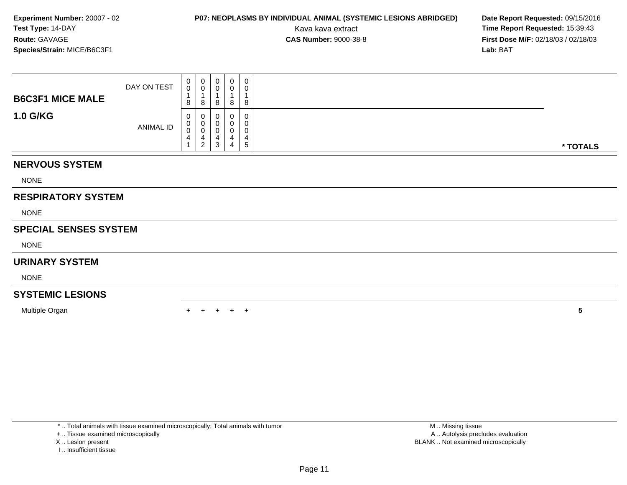### **P07: NEOPLASMS BY INDIVIDUAL ANIMAL (SYSTEMIC LESIONS ABRIDGED) Date Report Requested:** 09/15/2016

Kava kava extract **Time Report Requested:** 15:39:43<br>**CAS Number:** 9000-38-8 **Time Report Requested:** 15:39:43 **First Dose M/F:** 02/18/03 / 02/18/03<br>**Lab:** BAT **Lab:** BAT

| <b>B6C3F1 MICE MALE</b>      | DAY ON TEST | 0<br>$\mathsf{O}\xspace$<br>$\overline{\mathbf{A}}$<br>8 | $_{\rm 0}^{\rm 0}$<br>$\mathbf 1$<br>8             | $\overline{0}$<br>0<br>8 | 0<br>0<br>1<br>8 | 0<br>0<br>8                    |          |
|------------------------------|-------------|----------------------------------------------------------|----------------------------------------------------|--------------------------|------------------|--------------------------------|----------|
| <b>1.0 G/KG</b>              | ANIMAL ID   | 0<br>$\pmb{0}$<br>$\pmb{0}$<br>4                         | 0<br>$\pmb{0}$<br>$\pmb{0}$<br>4<br>$\overline{c}$ | 0<br>0<br>0<br>4<br>3    | 0<br>4<br>4      | 0<br>0<br>0<br>4<br>$\sqrt{5}$ | * TOTALS |
| <b>NERVOUS SYSTEM</b>        |             |                                                          |                                                    |                          |                  |                                |          |
| <b>NONE</b>                  |             |                                                          |                                                    |                          |                  |                                |          |
| <b>RESPIRATORY SYSTEM</b>    |             |                                                          |                                                    |                          |                  |                                |          |
| <b>NONE</b>                  |             |                                                          |                                                    |                          |                  |                                |          |
| <b>SPECIAL SENSES SYSTEM</b> |             |                                                          |                                                    |                          |                  |                                |          |
| <b>NONE</b>                  |             |                                                          |                                                    |                          |                  |                                |          |
| <b>URINARY SYSTEM</b>        |             |                                                          |                                                    |                          |                  |                                |          |
| <b>NONE</b>                  |             |                                                          |                                                    |                          |                  |                                |          |
| <b>SYSTEMIC LESIONS</b>      |             |                                                          |                                                    |                          |                  |                                |          |
| Multiple Organ               |             |                                                          |                                                    |                          |                  | $^+$                           | 5        |

\* .. Total animals with tissue examined microscopically; Total animals with tumor

+ .. Tissue examined microscopically

- X .. Lesion present
- I .. Insufficient tissue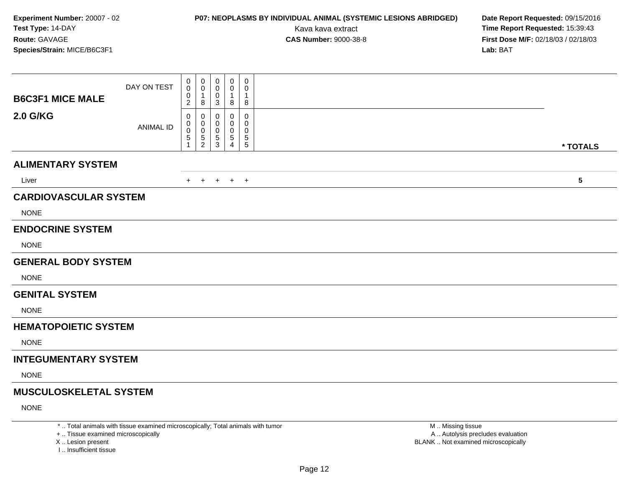## **P07: NEOPLASMS BY INDIVIDUAL ANIMAL (SYSTEMIC LESIONS ABRIDGED) Date Report Requested:** 09/15/2016

Kava kava extract **Time Report Requested:** 15:39:43<br>**CAS Number:** 9000-38-8 **Time Report Requested:** 15:39:43 **First Dose M/F:** 02/18/03 / 02/18/03<br>**Lab:** BAT **Lab:** BAT

| <b>2.0 G/KG</b><br>0<br>0<br>0<br>0<br>0<br>0<br>0<br>0<br>0<br><b>ANIMAL ID</b><br>0<br>0<br>$\mathbf 0$<br>0<br>0<br>5<br>$\,$ 5 $\,$<br>$\,$ 5 $\,$<br>$\begin{array}{c} 5 \\ 5 \end{array}$<br>5<br>$\mathbf{3}$<br>$\overline{2}$<br>$\overline{4}$<br>1<br>* TOTALS<br><b>ALIMENTARY SYSTEM</b><br>$\overline{\mathbf{5}}$<br>Liver<br>$+$ $+$<br>$+$ $+$ $+$<br><b>CARDIOVASCULAR SYSTEM</b><br><b>NONE</b><br><b>ENDOCRINE SYSTEM</b><br><b>NONE</b><br><b>GENERAL BODY SYSTEM</b><br><b>NONE</b><br><b>GENITAL SYSTEM</b><br><b>NONE</b><br><b>HEMATOPOIETIC SYSTEM</b><br><b>NONE</b><br><b>INTEGUMENTARY SYSTEM</b><br><b>NONE</b><br><b>MUSCULOSKELETAL SYSTEM</b><br><b>NONE</b> | <b>B6C3F1 MICE MALE</b> | DAY ON TEST | 0<br>0<br>0<br>$\overline{c}$ | 0<br>0<br>1<br>8 | 0<br>0<br>0<br>3 | $\pmb{0}$<br>0<br>-1<br>8 | $\mathbf 0$<br>0<br>$\overline{1}$<br>8 |  |
|-----------------------------------------------------------------------------------------------------------------------------------------------------------------------------------------------------------------------------------------------------------------------------------------------------------------------------------------------------------------------------------------------------------------------------------------------------------------------------------------------------------------------------------------------------------------------------------------------------------------------------------------------------------------------------------------------|-------------------------|-------------|-------------------------------|------------------|------------------|---------------------------|-----------------------------------------|--|
|                                                                                                                                                                                                                                                                                                                                                                                                                                                                                                                                                                                                                                                                                               |                         |             |                               |                  |                  |                           |                                         |  |
|                                                                                                                                                                                                                                                                                                                                                                                                                                                                                                                                                                                                                                                                                               |                         |             |                               |                  |                  |                           |                                         |  |
|                                                                                                                                                                                                                                                                                                                                                                                                                                                                                                                                                                                                                                                                                               |                         |             |                               |                  |                  |                           |                                         |  |
|                                                                                                                                                                                                                                                                                                                                                                                                                                                                                                                                                                                                                                                                                               |                         |             |                               |                  |                  |                           |                                         |  |
|                                                                                                                                                                                                                                                                                                                                                                                                                                                                                                                                                                                                                                                                                               |                         |             |                               |                  |                  |                           |                                         |  |
|                                                                                                                                                                                                                                                                                                                                                                                                                                                                                                                                                                                                                                                                                               |                         |             |                               |                  |                  |                           |                                         |  |
|                                                                                                                                                                                                                                                                                                                                                                                                                                                                                                                                                                                                                                                                                               |                         |             |                               |                  |                  |                           |                                         |  |
|                                                                                                                                                                                                                                                                                                                                                                                                                                                                                                                                                                                                                                                                                               |                         |             |                               |                  |                  |                           |                                         |  |
|                                                                                                                                                                                                                                                                                                                                                                                                                                                                                                                                                                                                                                                                                               |                         |             |                               |                  |                  |                           |                                         |  |
|                                                                                                                                                                                                                                                                                                                                                                                                                                                                                                                                                                                                                                                                                               |                         |             |                               |                  |                  |                           |                                         |  |
|                                                                                                                                                                                                                                                                                                                                                                                                                                                                                                                                                                                                                                                                                               |                         |             |                               |                  |                  |                           |                                         |  |
|                                                                                                                                                                                                                                                                                                                                                                                                                                                                                                                                                                                                                                                                                               |                         |             |                               |                  |                  |                           |                                         |  |
|                                                                                                                                                                                                                                                                                                                                                                                                                                                                                                                                                                                                                                                                                               |                         |             |                               |                  |                  |                           |                                         |  |
|                                                                                                                                                                                                                                                                                                                                                                                                                                                                                                                                                                                                                                                                                               |                         |             |                               |                  |                  |                           |                                         |  |
|                                                                                                                                                                                                                                                                                                                                                                                                                                                                                                                                                                                                                                                                                               |                         |             |                               |                  |                  |                           |                                         |  |
|                                                                                                                                                                                                                                                                                                                                                                                                                                                                                                                                                                                                                                                                                               |                         |             |                               |                  |                  |                           |                                         |  |
|                                                                                                                                                                                                                                                                                                                                                                                                                                                                                                                                                                                                                                                                                               |                         |             |                               |                  |                  |                           |                                         |  |

\* .. Total animals with tissue examined microscopically; Total animals with tumor

+ .. Tissue examined microscopically

X .. Lesion present

I .. Insufficient tissue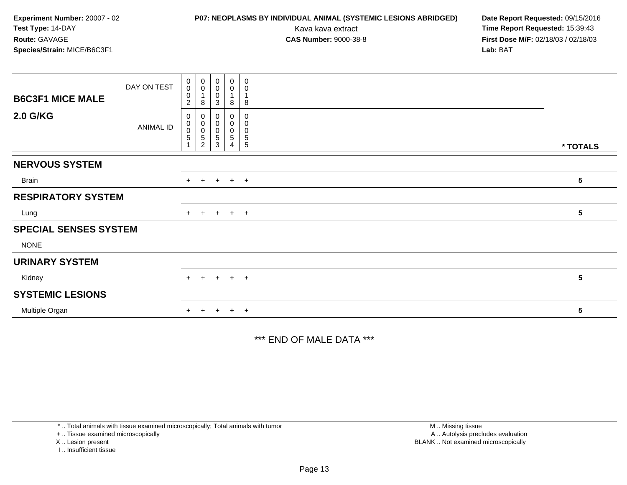### **P07: NEOPLASMS BY INDIVIDUAL ANIMAL (SYSTEMIC LESIONS ABRIDGED) Date Report Requested:** 09/15/2016

Kava kava extract **Time Report Requested:** 15:39:43<br>**CAS Number:** 9000-38-8 **Time Report Requested:** 15:39:43 **First Dose M/F:** 02/18/03 / 02/18/03<br>**Lab:** BAT **Lab:** BAT

| <b>B6C3F1 MICE MALE</b>      | DAY ON TEST | $\begin{smallmatrix} 0\\0 \end{smallmatrix}$<br>$\mathbf 0$<br>$\overline{c}$ | 0<br>$\pmb{0}$<br>8                              | $\pmb{0}$<br>$\pmb{0}$<br>$\pmb{0}$<br>3             | $\pmb{0}$<br>0<br>8                        | $\pmb{0}$<br>$\mathbf 0$<br>8                                     |          |  |
|------------------------------|-------------|-------------------------------------------------------------------------------|--------------------------------------------------|------------------------------------------------------|--------------------------------------------|-------------------------------------------------------------------|----------|--|
| <b>2.0 G/KG</b>              | ANIMAL ID   | 0<br>$\mathbf 0$<br>$\,0\,$<br>$\mathbf 5$                                    | 0<br>$\,0\,$<br>$\pmb{0}$<br>5<br>$\overline{2}$ | $\pmb{0}$<br>$\boldsymbol{0}$<br>$\pmb{0}$<br>5<br>3 | $\pmb{0}$<br>0<br>0<br>5<br>$\overline{4}$ | $\mathbf 0$<br>$\pmb{0}$<br>$\pmb{0}$<br>$\sqrt{5}$<br>$\sqrt{5}$ | * TOTALS |  |
| <b>NERVOUS SYSTEM</b>        |             |                                                                               |                                                  |                                                      |                                            |                                                                   |          |  |
| Brain                        |             | $+$                                                                           | $+$                                              |                                                      | $+$ $+$ $+$                                |                                                                   | 5        |  |
| <b>RESPIRATORY SYSTEM</b>    |             |                                                                               |                                                  |                                                      |                                            |                                                                   |          |  |
| Lung                         |             |                                                                               |                                                  |                                                      | $+$ + + + +                                |                                                                   | 5        |  |
| <b>SPECIAL SENSES SYSTEM</b> |             |                                                                               |                                                  |                                                      |                                            |                                                                   |          |  |
| <b>NONE</b>                  |             |                                                                               |                                                  |                                                      |                                            |                                                                   |          |  |
| <b>URINARY SYSTEM</b>        |             |                                                                               |                                                  |                                                      |                                            |                                                                   |          |  |
| Kidney                       |             | $+$                                                                           | $+$                                              |                                                      | $+ + +$                                    |                                                                   | 5        |  |
| <b>SYSTEMIC LESIONS</b>      |             |                                                                               |                                                  |                                                      |                                            |                                                                   |          |  |
| Multiple Organ               |             | $+$                                                                           | $+$                                              |                                                      | $+$ $+$ $+$                                |                                                                   | 5        |  |

\*\*\* END OF MALE DATA \*\*\*

\* .. Total animals with tissue examined microscopically; Total animals with tumor

+ .. Tissue examined microscopically

X .. Lesion present

I .. Insufficient tissue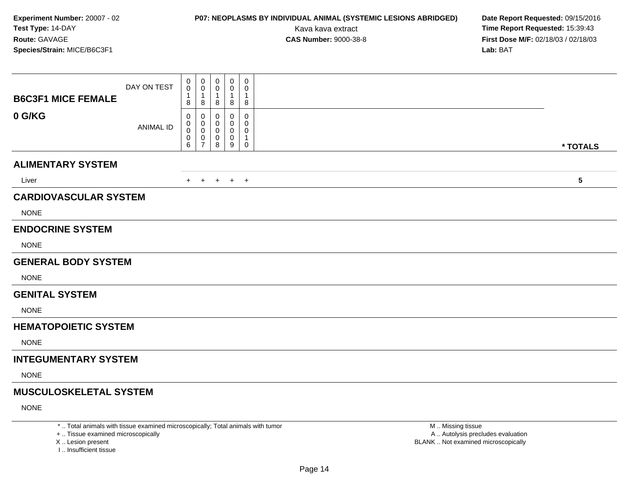### **P07: NEOPLASMS BY INDIVIDUAL ANIMAL (SYSTEMIC LESIONS ABRIDGED) Date Report Requested:** 09/15/2016

Kava kava extract **Time Report Requested:** 15:39:43<br>**CAS Number:** 9000-38-8 **Time Report Requested:** 15:39:43 **First Dose M/F:** 02/18/03 / 02/18/03<br>**Lab:** BAT **Lab:** BAT

| <b>B6C3F1 MICE FEMALE</b>                   | DAY ON TEST      | $\mathbf 0$<br>0<br>1<br>8 | 0<br>0<br>1<br>8                           | $\pmb{0}$<br>0<br>$\overline{1}$<br>8 | $\mathbf 0$<br>0<br>1<br>8      | $\boldsymbol{0}$<br>$\mathbf 0$<br>$\overline{1}$<br>8 |                         |
|---------------------------------------------|------------------|----------------------------|--------------------------------------------|---------------------------------------|---------------------------------|--------------------------------------------------------|-------------------------|
| 0 G/KG                                      | <b>ANIMAL ID</b> | 0<br>0<br>0<br>0<br>6      | 0<br>0<br>0<br>$\pmb{0}$<br>$\overline{7}$ | 0<br>0<br>$\pmb{0}$<br>8              | 0<br>0<br>0<br>$\mathbf 0$<br>9 | 0<br>0<br>0<br>$\overline{1}$<br>$\mathbf 0$           | * TOTALS                |
| <b>ALIMENTARY SYSTEM</b>                    |                  |                            |                                            |                                       |                                 |                                                        |                         |
| Liver                                       |                  | $+$                        | $+$                                        |                                       | $+$ $+$ $+$                     |                                                        | $\overline{\mathbf{5}}$ |
| <b>CARDIOVASCULAR SYSTEM</b><br><b>NONE</b> |                  |                            |                                            |                                       |                                 |                                                        |                         |
| <b>ENDOCRINE SYSTEM</b>                     |                  |                            |                                            |                                       |                                 |                                                        |                         |
| <b>NONE</b>                                 |                  |                            |                                            |                                       |                                 |                                                        |                         |
| <b>GENERAL BODY SYSTEM</b>                  |                  |                            |                                            |                                       |                                 |                                                        |                         |
| <b>NONE</b>                                 |                  |                            |                                            |                                       |                                 |                                                        |                         |
| <b>GENITAL SYSTEM</b>                       |                  |                            |                                            |                                       |                                 |                                                        |                         |
| <b>NONE</b>                                 |                  |                            |                                            |                                       |                                 |                                                        |                         |
| <b>HEMATOPOIETIC SYSTEM</b>                 |                  |                            |                                            |                                       |                                 |                                                        |                         |
| <b>NONE</b>                                 |                  |                            |                                            |                                       |                                 |                                                        |                         |
| <b>INTEGUMENTARY SYSTEM</b>                 |                  |                            |                                            |                                       |                                 |                                                        |                         |
| <b>NONE</b>                                 |                  |                            |                                            |                                       |                                 |                                                        |                         |
| <b>MUSCULOSKELETAL SYSTEM</b>               |                  |                            |                                            |                                       |                                 |                                                        |                         |
| <b>NONE</b>                                 |                  |                            |                                            |                                       |                                 |                                                        |                         |

\* .. Total animals with tissue examined microscopically; Total animals with tumor

+ .. Tissue examined microscopically

X .. Lesion present

I .. Insufficient tissue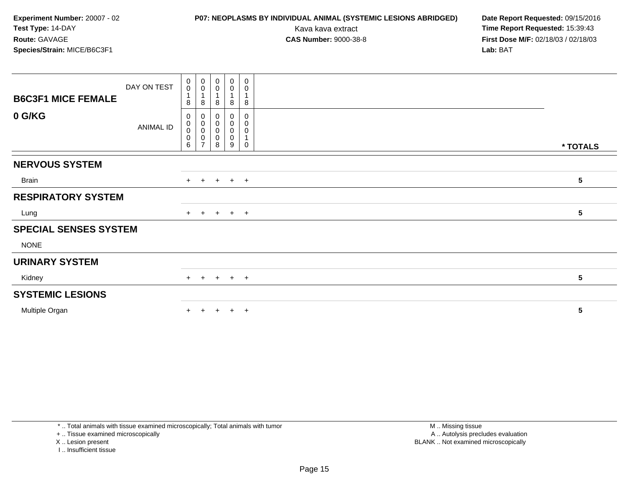### **P07: NEOPLASMS BY INDIVIDUAL ANIMAL (SYSTEMIC LESIONS ABRIDGED) Date Report Requested:** 09/15/2016

Kava kava extract **Time Report Requested:** 15:39:43<br>**CAS Number:** 9000-38-8 **Time Report Requested:** 15:39:43 **First Dose M/F:** 02/18/03 / 02/18/03<br>**Lab:** BAT **Lab:** BAT

| <b>B6C3F1 MICE FEMALE</b>    | DAY ON TEST | $\pmb{0}$<br>$\mathbf 0$<br>$\mathbf{1}$<br>8 | 0<br>$\mathbf 0$<br>$\overline{1}$<br>8 | 0<br>0<br>8           | $\pmb{0}$<br>$\pmb{0}$<br>8                          | $\boldsymbol{0}$<br>$\mathbf 0$<br>1<br>8 |                 |  |
|------------------------------|-------------|-----------------------------------------------|-----------------------------------------|-----------------------|------------------------------------------------------|-------------------------------------------|-----------------|--|
| 0 G/KG                       | ANIMAL ID   | 0<br>$\pmb{0}$<br>$\pmb{0}$<br>$\pmb{0}$<br>6 | 0<br>0<br>0<br>0<br>$\overline{ }$      | 0<br>0<br>0<br>0<br>8 | $\boldsymbol{0}$<br>$\pmb{0}$<br>$\pmb{0}$<br>0<br>9 | 0<br>$\pmb{0}$<br>0<br>1<br>0             | * TOTALS        |  |
| <b>NERVOUS SYSTEM</b>        |             |                                               |                                         |                       |                                                      |                                           |                 |  |
| Brain                        |             |                                               | $+$ $+$                                 |                       | $+$ $+$ $+$                                          |                                           | 5               |  |
| <b>RESPIRATORY SYSTEM</b>    |             |                                               |                                         |                       |                                                      |                                           |                 |  |
| Lung                         |             |                                               | $+$ $+$                                 |                       | $+$ $+$ $+$                                          |                                           | $5\phantom{.0}$ |  |
| <b>SPECIAL SENSES SYSTEM</b> |             |                                               |                                         |                       |                                                      |                                           |                 |  |
| <b>NONE</b>                  |             |                                               |                                         |                       |                                                      |                                           |                 |  |
| <b>URINARY SYSTEM</b>        |             |                                               |                                         |                       |                                                      |                                           |                 |  |
| Kidney                       |             |                                               | $+$ $+$                                 |                       | $+$ $+$ $+$                                          |                                           | 5               |  |
| <b>SYSTEMIC LESIONS</b>      |             |                                               |                                         |                       |                                                      |                                           |                 |  |
| Multiple Organ               |             | $+$                                           | $+$                                     | $+$                   | $+$                                                  | $+$                                       | 5               |  |

\* .. Total animals with tissue examined microscopically; Total animals with tumor

+ .. Tissue examined microscopically

X .. Lesion present

I .. Insufficient tissue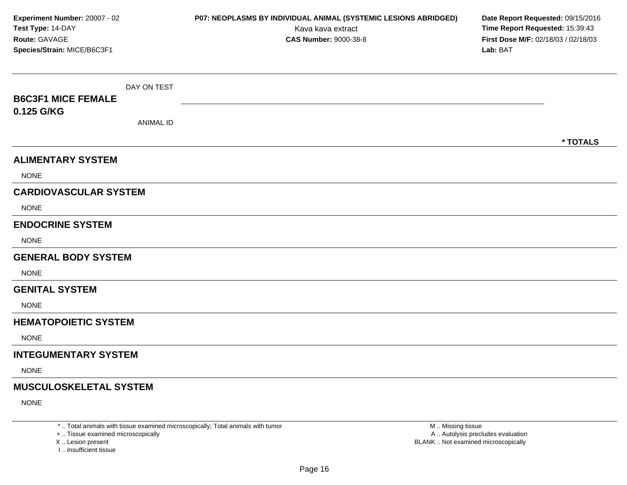| Experiment Number: 20007 - 02<br>Test Type: 14-DAY<br>Route: GAVAGE<br>Species/Strain: MICE/B6C3F1 |                                 | P07: NEOPLASMS BY INDIVIDUAL ANIMAL (SYSTEMIC LESIONS ABRIDGED)<br>Kava kava extract<br><b>CAS Number: 9000-38-8</b> | Date Report Requested: 09/15/2016<br>Time Report Requested: 15:39:43<br>First Dose M/F: 02/18/03 / 02/18/03<br>Lab: BAT |
|----------------------------------------------------------------------------------------------------|---------------------------------|----------------------------------------------------------------------------------------------------------------------|-------------------------------------------------------------------------------------------------------------------------|
| <b>B6C3F1 MICE FEMALE</b><br>0.125 G/KG                                                            | DAY ON TEST<br><b>ANIMAL ID</b> |                                                                                                                      |                                                                                                                         |
| <b>ALIMENTARY SYSTEM</b><br><b>NONE</b>                                                            |                                 |                                                                                                                      | * TOTALS                                                                                                                |
| <b>CARDIOVASCULAR SYSTEM</b><br><b>NONE</b>                                                        |                                 |                                                                                                                      |                                                                                                                         |
| <b>ENDOCRINE SYSTEM</b><br><b>NONE</b>                                                             |                                 |                                                                                                                      |                                                                                                                         |
| <b>GENERAL BODY SYSTEM</b><br><b>NONE</b>                                                          |                                 |                                                                                                                      |                                                                                                                         |
| <b>GENITAL SYSTEM</b><br><b>NONE</b>                                                               |                                 |                                                                                                                      |                                                                                                                         |
| <b>HEMATOPOIETIC SYSTEM</b><br><b>NONE</b>                                                         |                                 |                                                                                                                      |                                                                                                                         |
| <b>INTEGUMENTARY SYSTEM</b><br><b>NONE</b>                                                         |                                 |                                                                                                                      |                                                                                                                         |
| <b>MUSCULOSKELETAL SYSTEM</b><br><b>NONE</b>                                                       |                                 |                                                                                                                      |                                                                                                                         |

+ .. Tissue examined microscopically

X ..

I .. Insufficient tissue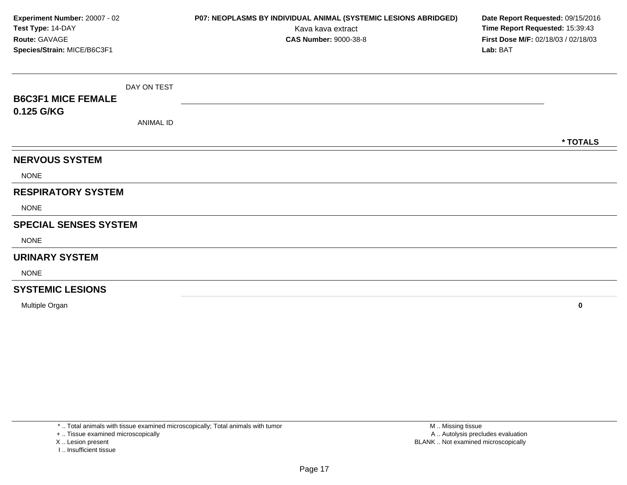| Experiment Number: 20007 - 02<br>Test Type: 14-DAY<br>Route: GAVAGE<br>Species/Strain: MICE/B6C3F1 |                  | P07: NEOPLASMS BY INDIVIDUAL ANIMAL (SYSTEMIC LESIONS ABRIDGED)<br>Kava kava extract<br><b>CAS Number: 9000-38-8</b> | Date Report Requested: 09/15/2016<br>Time Report Requested: 15:39:43<br>First Dose M/F: 02/18/03 / 02/18/03<br>Lab: BAT |
|----------------------------------------------------------------------------------------------------|------------------|----------------------------------------------------------------------------------------------------------------------|-------------------------------------------------------------------------------------------------------------------------|
|                                                                                                    | DAY ON TEST      |                                                                                                                      |                                                                                                                         |
| <b>B6C3F1 MICE FEMALE</b>                                                                          |                  |                                                                                                                      |                                                                                                                         |
| 0.125 G/KG                                                                                         | <b>ANIMAL ID</b> |                                                                                                                      |                                                                                                                         |
|                                                                                                    |                  |                                                                                                                      | * TOTALS                                                                                                                |
| <b>NERVOUS SYSTEM</b>                                                                              |                  |                                                                                                                      |                                                                                                                         |
| <b>NONE</b>                                                                                        |                  |                                                                                                                      |                                                                                                                         |
| <b>RESPIRATORY SYSTEM</b>                                                                          |                  |                                                                                                                      |                                                                                                                         |
| <b>NONE</b>                                                                                        |                  |                                                                                                                      |                                                                                                                         |
| <b>SPECIAL SENSES SYSTEM</b>                                                                       |                  |                                                                                                                      |                                                                                                                         |
| <b>NONE</b>                                                                                        |                  |                                                                                                                      |                                                                                                                         |
| <b>URINARY SYSTEM</b>                                                                              |                  |                                                                                                                      |                                                                                                                         |
| <b>NONE</b>                                                                                        |                  |                                                                                                                      |                                                                                                                         |
| <b>SYSTEMIC LESIONS</b>                                                                            |                  |                                                                                                                      |                                                                                                                         |

Multiple Organ**<sup>0</sup>**

\* .. Total animals with tissue examined microscopically; Total animals with tumor

+ .. Tissue examined microscopically

X .. Lesion present

I .. Insufficient tissue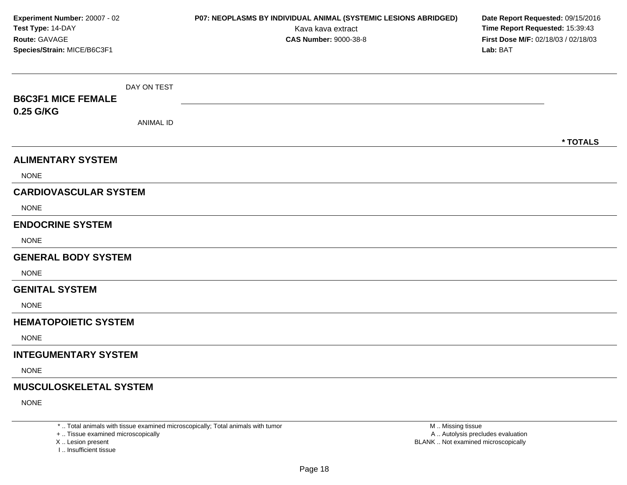| Experiment Number: 20007 - 02<br>Test Type: 14-DAY<br>Route: GAVAGE<br>Species/Strain: MICE/B6C3F1 |                                 | P07: NEOPLASMS BY INDIVIDUAL ANIMAL (SYSTEMIC LESIONS ABRIDGED)<br>Kava kava extract<br><b>CAS Number: 9000-38-8</b> | Date Report Requested: 09/15/2016<br>Time Report Requested: 15:39:43<br>First Dose M/F: 02/18/03 / 02/18/03<br>Lab: BAT |
|----------------------------------------------------------------------------------------------------|---------------------------------|----------------------------------------------------------------------------------------------------------------------|-------------------------------------------------------------------------------------------------------------------------|
| <b>B6C3F1 MICE FEMALE</b><br>0.25 G/KG                                                             | DAY ON TEST<br><b>ANIMAL ID</b> |                                                                                                                      |                                                                                                                         |
|                                                                                                    |                                 |                                                                                                                      | * TOTALS                                                                                                                |
| <b>ALIMENTARY SYSTEM</b>                                                                           |                                 |                                                                                                                      |                                                                                                                         |
| <b>NONE</b>                                                                                        |                                 |                                                                                                                      |                                                                                                                         |
| <b>CARDIOVASCULAR SYSTEM</b>                                                                       |                                 |                                                                                                                      |                                                                                                                         |
| <b>NONE</b>                                                                                        |                                 |                                                                                                                      |                                                                                                                         |
| <b>ENDOCRINE SYSTEM</b>                                                                            |                                 |                                                                                                                      |                                                                                                                         |
| <b>NONE</b>                                                                                        |                                 |                                                                                                                      |                                                                                                                         |
| <b>GENERAL BODY SYSTEM</b>                                                                         |                                 |                                                                                                                      |                                                                                                                         |
| <b>NONE</b>                                                                                        |                                 |                                                                                                                      |                                                                                                                         |
| <b>GENITAL SYSTEM</b>                                                                              |                                 |                                                                                                                      |                                                                                                                         |
| <b>NONE</b>                                                                                        |                                 |                                                                                                                      |                                                                                                                         |
| <b>HEMATOPOIETIC SYSTEM</b>                                                                        |                                 |                                                                                                                      |                                                                                                                         |
| <b>NONE</b>                                                                                        |                                 |                                                                                                                      |                                                                                                                         |
| <b>INTEGUMENTARY SYSTEM</b>                                                                        |                                 |                                                                                                                      |                                                                                                                         |
| <b>NONE</b>                                                                                        |                                 |                                                                                                                      |                                                                                                                         |
| <b>MUSCULOSKELETAL SYSTEM</b>                                                                      |                                 |                                                                                                                      |                                                                                                                         |
| <b>NONE</b>                                                                                        |                                 |                                                                                                                      |                                                                                                                         |

+ .. Tissue examined microscopically

X ..

I .. Insufficient tissue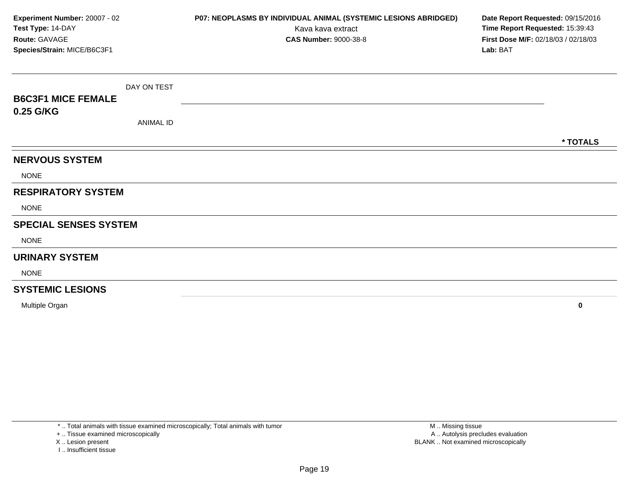| Experiment Number: 20007 - 02<br>Test Type: 14-DAY<br>Route: GAVAGE<br>Species/Strain: MICE/B6C3F1 |                  | P07: NEOPLASMS BY INDIVIDUAL ANIMAL (SYSTEMIC LESIONS ABRIDGED)<br>Kava kava extract<br><b>CAS Number: 9000-38-8</b> | Date Report Requested: 09/15/2016<br>Time Report Requested: 15:39:43<br>First Dose M/F: 02/18/03 / 02/18/03<br>Lab: BAT |
|----------------------------------------------------------------------------------------------------|------------------|----------------------------------------------------------------------------------------------------------------------|-------------------------------------------------------------------------------------------------------------------------|
|                                                                                                    | DAY ON TEST      |                                                                                                                      |                                                                                                                         |
| <b>B6C3F1 MICE FEMALE</b><br>0.25 G/KG                                                             |                  |                                                                                                                      |                                                                                                                         |
|                                                                                                    | <b>ANIMAL ID</b> |                                                                                                                      |                                                                                                                         |
|                                                                                                    |                  |                                                                                                                      | * TOTALS                                                                                                                |
| <b>NERVOUS SYSTEM</b>                                                                              |                  |                                                                                                                      |                                                                                                                         |
| <b>NONE</b>                                                                                        |                  |                                                                                                                      |                                                                                                                         |
| <b>RESPIRATORY SYSTEM</b>                                                                          |                  |                                                                                                                      |                                                                                                                         |
| <b>NONE</b>                                                                                        |                  |                                                                                                                      |                                                                                                                         |
| <b>SPECIAL SENSES SYSTEM</b>                                                                       |                  |                                                                                                                      |                                                                                                                         |
| <b>NONE</b>                                                                                        |                  |                                                                                                                      |                                                                                                                         |
| <b>URINARY SYSTEM</b>                                                                              |                  |                                                                                                                      |                                                                                                                         |
| <b>NONE</b>                                                                                        |                  |                                                                                                                      |                                                                                                                         |
| <b>SYSTEMIC LESIONS</b>                                                                            |                  |                                                                                                                      |                                                                                                                         |

Multiple Organ**<sup>0</sup>**

\* .. Total animals with tissue examined microscopically; Total animals with tumor

+ .. Tissue examined microscopically

X .. Lesion present

I .. Insufficient tissue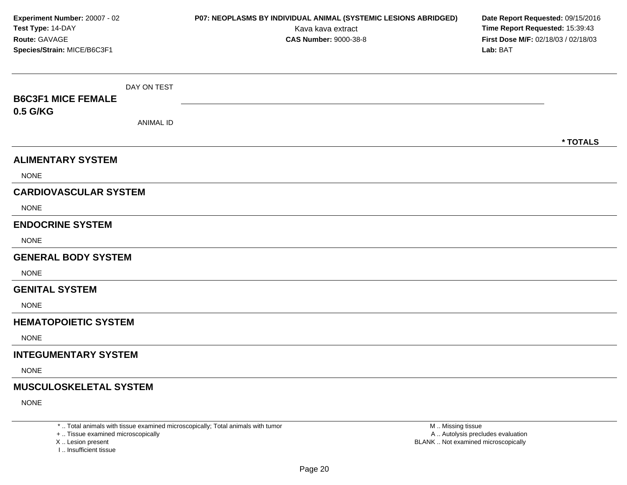| Experiment Number: 20007 - 02<br>Test Type: 14-DAY<br>Route: GAVAGE<br>Species/Strain: MICE/B6C3F1 |                  | P07: NEOPLASMS BY INDIVIDUAL ANIMAL (SYSTEMIC LESIONS ABRIDGED)<br>Kava kava extract<br><b>CAS Number: 9000-38-8</b> | Date Report Requested: 09/15/2016<br>Time Report Requested: 15:39:43<br>First Dose M/F: 02/18/03 / 02/18/03<br>Lab: BAT |
|----------------------------------------------------------------------------------------------------|------------------|----------------------------------------------------------------------------------------------------------------------|-------------------------------------------------------------------------------------------------------------------------|
| <b>B6C3F1 MICE FEMALE</b>                                                                          | DAY ON TEST      |                                                                                                                      |                                                                                                                         |
| 0.5 G/KG                                                                                           | <b>ANIMAL ID</b> |                                                                                                                      | * TOTALS                                                                                                                |
| <b>ALIMENTARY SYSTEM</b>                                                                           |                  |                                                                                                                      |                                                                                                                         |
| <b>NONE</b>                                                                                        |                  |                                                                                                                      |                                                                                                                         |
| <b>CARDIOVASCULAR SYSTEM</b>                                                                       |                  |                                                                                                                      |                                                                                                                         |
| <b>NONE</b>                                                                                        |                  |                                                                                                                      |                                                                                                                         |
| <b>ENDOCRINE SYSTEM</b>                                                                            |                  |                                                                                                                      |                                                                                                                         |
| <b>NONE</b>                                                                                        |                  |                                                                                                                      |                                                                                                                         |
| <b>GENERAL BODY SYSTEM</b>                                                                         |                  |                                                                                                                      |                                                                                                                         |
| <b>NONE</b>                                                                                        |                  |                                                                                                                      |                                                                                                                         |
| <b>GENITAL SYSTEM</b>                                                                              |                  |                                                                                                                      |                                                                                                                         |
| <b>NONE</b>                                                                                        |                  |                                                                                                                      |                                                                                                                         |
| <b>HEMATOPOIETIC SYSTEM</b>                                                                        |                  |                                                                                                                      |                                                                                                                         |
| <b>NONE</b>                                                                                        |                  |                                                                                                                      |                                                                                                                         |
| <b>INTEGUMENTARY SYSTEM</b>                                                                        |                  |                                                                                                                      |                                                                                                                         |
| <b>NONE</b>                                                                                        |                  |                                                                                                                      |                                                                                                                         |
| <b>MUSCULOSKELETAL SYSTEM</b>                                                                      |                  |                                                                                                                      |                                                                                                                         |
| <b>NONE</b>                                                                                        |                  |                                                                                                                      |                                                                                                                         |

+ .. Tissue examined microscopically

X ..

I .. Insufficient tissue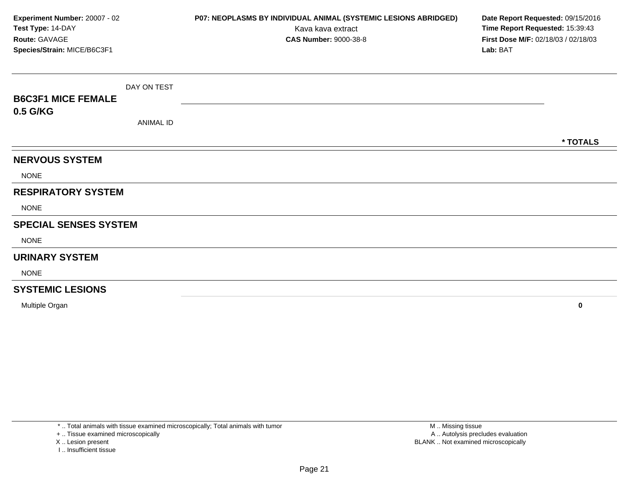| Experiment Number: 20007 - 02<br>Test Type: 14-DAY<br>Route: GAVAGE<br>Species/Strain: MICE/B6C3F1 |                  | P07: NEOPLASMS BY INDIVIDUAL ANIMAL (SYSTEMIC LESIONS ABRIDGED)<br>Kava kava extract<br><b>CAS Number: 9000-38-8</b> | Date Report Requested: 09/15/2016<br>Time Report Requested: 15:39:43<br>First Dose M/F: 02/18/03 / 02/18/03<br>Lab: BAT |
|----------------------------------------------------------------------------------------------------|------------------|----------------------------------------------------------------------------------------------------------------------|-------------------------------------------------------------------------------------------------------------------------|
|                                                                                                    | DAY ON TEST      |                                                                                                                      |                                                                                                                         |
| <b>B6C3F1 MICE FEMALE</b>                                                                          |                  |                                                                                                                      |                                                                                                                         |
| 0.5 G/KG                                                                                           | <b>ANIMAL ID</b> |                                                                                                                      |                                                                                                                         |
|                                                                                                    |                  |                                                                                                                      | * TOTALS                                                                                                                |
| <b>NERVOUS SYSTEM</b>                                                                              |                  |                                                                                                                      |                                                                                                                         |
| <b>NONE</b>                                                                                        |                  |                                                                                                                      |                                                                                                                         |
| <b>RESPIRATORY SYSTEM</b>                                                                          |                  |                                                                                                                      |                                                                                                                         |
| <b>NONE</b>                                                                                        |                  |                                                                                                                      |                                                                                                                         |
| <b>SPECIAL SENSES SYSTEM</b>                                                                       |                  |                                                                                                                      |                                                                                                                         |
| <b>NONE</b>                                                                                        |                  |                                                                                                                      |                                                                                                                         |
| <b>URINARY SYSTEM</b>                                                                              |                  |                                                                                                                      |                                                                                                                         |
| <b>NONE</b>                                                                                        |                  |                                                                                                                      |                                                                                                                         |
| <b>SYSTEMIC LESIONS</b>                                                                            |                  |                                                                                                                      |                                                                                                                         |

Multiple Organ**<sup>0</sup>**

\* .. Total animals with tissue examined microscopically; Total animals with tumor

+ .. Tissue examined microscopically

X .. Lesion present

I .. Insufficient tissue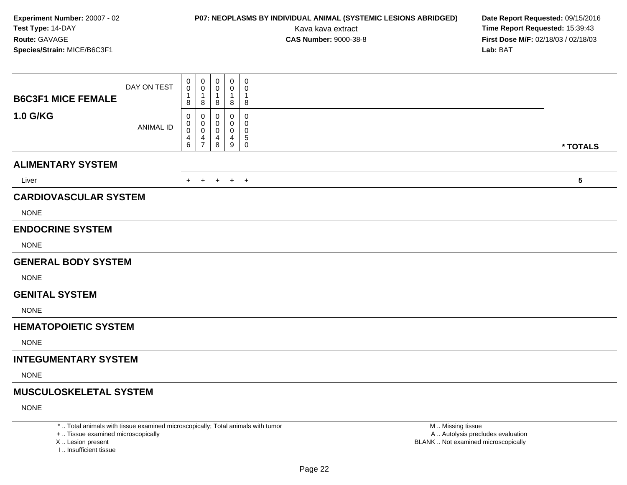### **P07: NEOPLASMS BY INDIVIDUAL ANIMAL (SYSTEMIC LESIONS ABRIDGED) Date Report Requested:** 09/15/2016

Kava kava extract **Time Report Requested:** 15:39:43<br>**CAS Number:** 9000-38-8 **Time Report Requested:** 15:39:43 **First Dose M/F:** 02/18/03 / 02/18/03<br>**Lab:** BAT **Lab:** BAT

| <b>B6C3F1 MICE FEMALE</b>                   | DAY ON TEST      | 0<br>0<br>1<br>8          | 0<br>0<br>$\mathbf{1}$<br>8        | 0<br>0<br>$\mathbf{1}$<br>8 | $\pmb{0}$<br>0<br>1<br>8                    | $\mathbf 0$<br>0<br>$\overline{1}$<br>8  |                         |
|---------------------------------------------|------------------|---------------------------|------------------------------------|-----------------------------|---------------------------------------------|------------------------------------------|-------------------------|
| <b>1.0 G/KG</b>                             | <b>ANIMAL ID</b> | 0<br>0<br>0<br>4<br>$\,6$ | 0<br>0<br>0<br>4<br>$\overline{7}$ | ∩<br>0<br>4<br>8            | $\Omega$<br>0<br>0<br>4<br>$\boldsymbol{9}$ | 0<br>0<br>0<br>$\sqrt{5}$<br>$\mathbf 0$ | * TOTALS                |
| <b>ALIMENTARY SYSTEM</b>                    |                  |                           |                                    |                             |                                             |                                          |                         |
| Liver                                       |                  |                           | $+$ $+$                            |                             | $+$ $+$ $+$                                 |                                          | $\overline{\mathbf{5}}$ |
| <b>CARDIOVASCULAR SYSTEM</b><br><b>NONE</b> |                  |                           |                                    |                             |                                             |                                          |                         |
| <b>ENDOCRINE SYSTEM</b>                     |                  |                           |                                    |                             |                                             |                                          |                         |
| <b>NONE</b>                                 |                  |                           |                                    |                             |                                             |                                          |                         |
| <b>GENERAL BODY SYSTEM</b>                  |                  |                           |                                    |                             |                                             |                                          |                         |
| <b>NONE</b>                                 |                  |                           |                                    |                             |                                             |                                          |                         |
| <b>GENITAL SYSTEM</b>                       |                  |                           |                                    |                             |                                             |                                          |                         |
| <b>NONE</b>                                 |                  |                           |                                    |                             |                                             |                                          |                         |
| <b>HEMATOPOIETIC SYSTEM</b>                 |                  |                           |                                    |                             |                                             |                                          |                         |
| <b>NONE</b>                                 |                  |                           |                                    |                             |                                             |                                          |                         |
| <b>INTEGUMENTARY SYSTEM</b>                 |                  |                           |                                    |                             |                                             |                                          |                         |
| <b>NONE</b>                                 |                  |                           |                                    |                             |                                             |                                          |                         |
| <b>MUSCULOSKELETAL SYSTEM</b>               |                  |                           |                                    |                             |                                             |                                          |                         |
| <b>NONE</b>                                 |                  |                           |                                    |                             |                                             |                                          |                         |
|                                             |                  |                           |                                    | $\cdots$ $\cdots$ $\cdots$  |                                             |                                          | $\sim$ $\sim$ $\sim$    |

\* .. Total animals with tissue examined microscopically; Total animals with tumor

+ .. Tissue examined microscopically

X .. Lesion present

I .. Insufficient tissue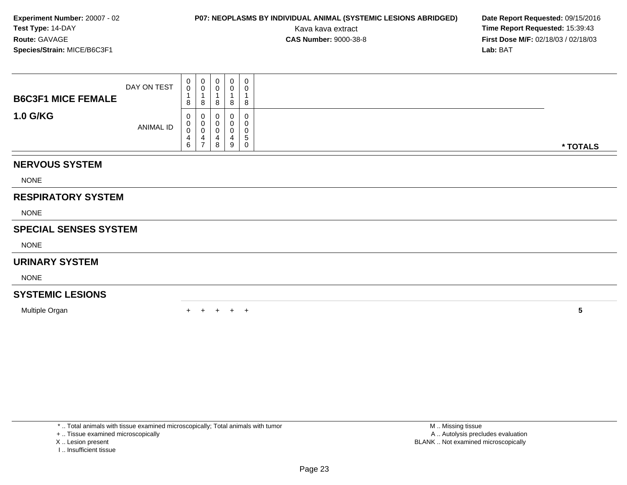### **P07: NEOPLASMS BY INDIVIDUAL ANIMAL (SYSTEMIC LESIONS ABRIDGED) Date Report Requested:** 09/15/2016

Kava kava extract **Time Report Requested:** 15:39:43<br>**CAS Number:** 9000-38-8 **Time Report Requested:** 15:39:43 **First Dose M/F:** 02/18/03 / 02/18/03<br>**Lab:** BAT **Lab:** BAT

| <b>B6C3F1 MICE FEMALE</b><br><b>1.0 G/KG</b> | DAY ON TEST | 0<br>$\pmb{0}$<br>$\mathbf{1}$<br>8<br>0 | $\mathbf 0$<br>$\pmb{0}$<br>1<br>8<br>0 | 0<br>$\pmb{0}$<br>8<br>0   | $\mathbf 0$<br>0<br>$\overline{\mathbf{A}}$<br>8 | $\mathbf 0$<br>$\pmb{0}$<br>$\overline{ }$<br>8<br>0 |                 |
|----------------------------------------------|-------------|------------------------------------------|-----------------------------------------|----------------------------|--------------------------------------------------|------------------------------------------------------|-----------------|
|                                              | ANIMAL ID   | $\boldsymbol{0}$<br>$\pmb{0}$<br>4<br>6  | $\mathbf 0$<br>0<br>4<br>$\overline{7}$ | 0<br>$\mathbf 0$<br>4<br>8 | 0<br>0<br>4<br>9                                 | 0<br>0<br>5<br>0                                     | * TOTALS        |
| <b>NERVOUS SYSTEM</b>                        |             |                                          |                                         |                            |                                                  |                                                      |                 |
| <b>NONE</b>                                  |             |                                          |                                         |                            |                                                  |                                                      |                 |
| <b>RESPIRATORY SYSTEM</b>                    |             |                                          |                                         |                            |                                                  |                                                      |                 |
| <b>NONE</b>                                  |             |                                          |                                         |                            |                                                  |                                                      |                 |
| <b>SPECIAL SENSES SYSTEM</b>                 |             |                                          |                                         |                            |                                                  |                                                      |                 |
| <b>NONE</b>                                  |             |                                          |                                         |                            |                                                  |                                                      |                 |
| <b>URINARY SYSTEM</b>                        |             |                                          |                                         |                            |                                                  |                                                      |                 |
| <b>NONE</b>                                  |             |                                          |                                         |                            |                                                  |                                                      |                 |
| <b>SYSTEMIC LESIONS</b>                      |             |                                          |                                         |                            |                                                  |                                                      |                 |
| Multiple Organ                               |             |                                          |                                         |                            | $+$                                              | $\overline{1}$                                       | $5\phantom{.0}$ |

- X .. Lesion present
- I .. Insufficient tissue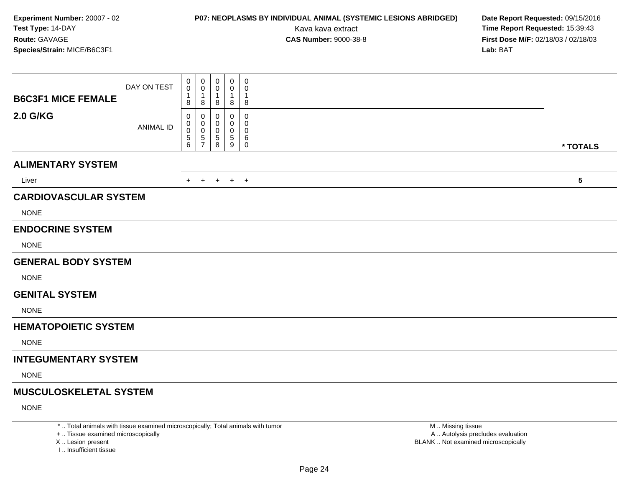### **P07: NEOPLASMS BY INDIVIDUAL ANIMAL (SYSTEMIC LESIONS ABRIDGED) Date Report Requested:** 09/15/2016

Kava kava extract **Time Report Requested:** 15:39:43<br>**CAS Number:** 9000-38-8 **Time Report Requested:** 15:39:43 **First Dose M/F:** 02/18/03 / 02/18/03<br>**Lab:** BAT **Lab:** BAT

| <b>B6C3F1 MICE FEMALE</b>                   | DAY ON TEST      | 0<br>0<br>1<br>8             | 0<br>0<br>1<br>8                            | $\pmb{0}$<br>0<br>$\overline{1}$<br>8           | $\mathbf 0$<br>0<br>1<br>8      | $\boldsymbol{0}$<br>$\mathbf 0$<br>$\overline{1}$<br>8 |                         |
|---------------------------------------------|------------------|------------------------------|---------------------------------------------|-------------------------------------------------|---------------------------------|--------------------------------------------------------|-------------------------|
| <b>2.0 G/KG</b>                             | <b>ANIMAL ID</b> | 0<br>0<br>0<br>$\frac{5}{6}$ | 0<br>0<br>0<br>$\sqrt{5}$<br>$\overline{7}$ | 0<br>0<br>$\begin{array}{c} 5 \\ 8 \end{array}$ | 0<br>0<br>0<br>$\,$ 5 $\,$<br>9 | 0<br>0<br>$\mathbf 0$<br>6<br>$\mathbf 0$              | * TOTALS                |
| <b>ALIMENTARY SYSTEM</b>                    |                  |                              |                                             |                                                 |                                 |                                                        |                         |
| Liver                                       |                  | $+$                          | $+$                                         |                                                 | $+$ $+$ $+$                     |                                                        | $\overline{\mathbf{5}}$ |
| <b>CARDIOVASCULAR SYSTEM</b><br><b>NONE</b> |                  |                              |                                             |                                                 |                                 |                                                        |                         |
| <b>ENDOCRINE SYSTEM</b><br><b>NONE</b>      |                  |                              |                                             |                                                 |                                 |                                                        |                         |
| <b>GENERAL BODY SYSTEM</b>                  |                  |                              |                                             |                                                 |                                 |                                                        |                         |
| <b>NONE</b>                                 |                  |                              |                                             |                                                 |                                 |                                                        |                         |
| <b>GENITAL SYSTEM</b><br><b>NONE</b>        |                  |                              |                                             |                                                 |                                 |                                                        |                         |
| <b>HEMATOPOIETIC SYSTEM</b>                 |                  |                              |                                             |                                                 |                                 |                                                        |                         |
| <b>NONE</b>                                 |                  |                              |                                             |                                                 |                                 |                                                        |                         |
| <b>INTEGUMENTARY SYSTEM</b>                 |                  |                              |                                             |                                                 |                                 |                                                        |                         |
| <b>NONE</b>                                 |                  |                              |                                             |                                                 |                                 |                                                        |                         |
| <b>MUSCULOSKELETAL SYSTEM</b>               |                  |                              |                                             |                                                 |                                 |                                                        |                         |
| <b>NONE</b>                                 |                  |                              |                                             |                                                 |                                 |                                                        |                         |

\* .. Total animals with tissue examined microscopically; Total animals with tumor

+ .. Tissue examined microscopically

X .. Lesion present

I .. Insufficient tissue